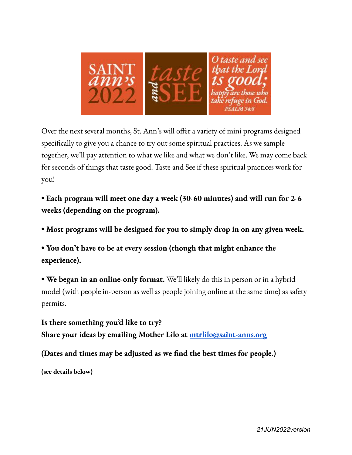

Over the next several months, St. Ann's will offer a variety of mini programs designed specifically to give you a chance to try out some spiritual practices. As we sample together, we'll pay attention to what we like and what we don't like. We may come back for seconds of things that taste good. Taste and See if these spiritual practices work for you!

**• Each program will meet one day a week (30-60 minutes) and will run for 2-6 weeks (depending on the program).**

**• Most programs will be designed for you to simply drop in on any given week.**

**• You don't have to be at every session (though that might enhance the experience).**

**• We began in an online-only format.** We'll likely do this in person or in a hybrid model (with people in-person as well as people joining online at the same time) as safety permits.

**Is there something you'd like to try? Share your ideas by emailing Mother Lilo at [mtrlilo@saint-anns.org](mailto:mtrlilo@saint-anns.org)**

**(Dates and times may be adjusted as we find the best times for people.)**

**(see details below)**